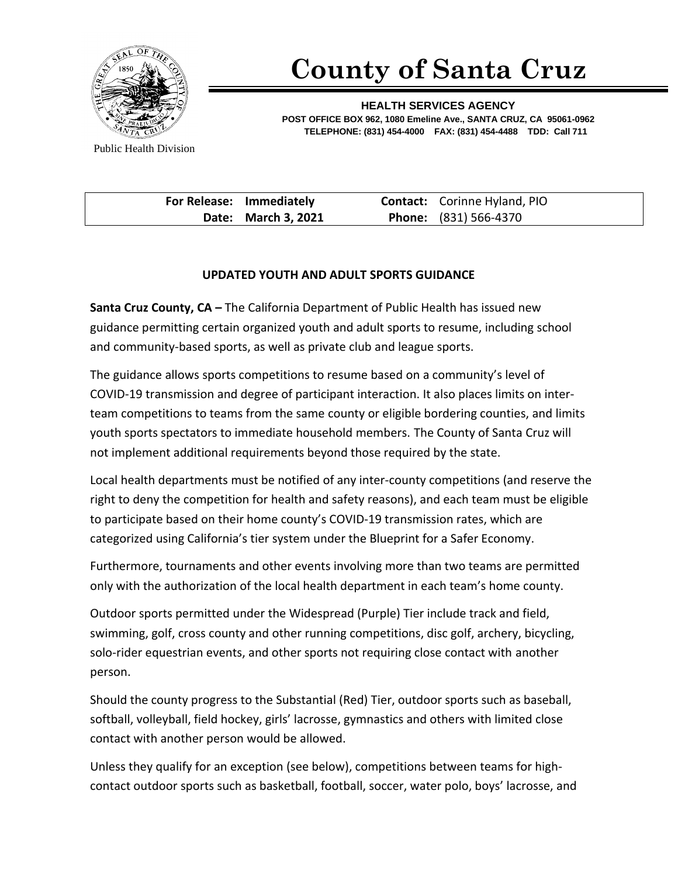

## **County of Santa Cruz**

**HEALTH SERVICES AGENCY POST OFFICE BOX 962, 1080 Emeline Ave., SANTA CRUZ, CA 95061-0962 TELEPHONE: (831) 454-4000 FAX: (831) 454-4488 TDD: Call 711**

Public Health Division

| For Release: Immediately | <b>Contact:</b> Corinne Hyland, PIO |
|--------------------------|-------------------------------------|
| Date: March 3, 2021      | <b>Phone:</b> (831) 566-4370        |

## **UPDATED YOUTH AND ADULT SPORTS GUIDANCE**

**Santa Cruz County, CA –** The California Department of Public Health has issued new guidance permitting certain organized youth and adult sports to resume, including school and community-based sports, as well as private club and league sports.

The guidance allows sports competitions to resume based on a community's level of COVID-19 transmission and degree of participant interaction. It also places limits on interteam competitions to teams from the same county or eligible bordering counties, and limits youth sports spectators to immediate household members. The County of Santa Cruz will not implement additional requirements beyond those required by the state.

Local health departments must be notified of any inter-county competitions (and reserve the right to deny the competition for health and safety reasons), and each team must be eligible to participate based on their home county's COVID-19 transmission rates, which are categorized using California's tier system under the Blueprint for a Safer Economy.

Furthermore, tournaments and other events involving more than two teams are permitted only with the authorization of the local health department in each team's home county.

Outdoor sports permitted under the Widespread (Purple) Tier include track and field, swimming, golf, cross county and other running competitions, disc golf, archery, bicycling, solo-rider equestrian events, and other sports not requiring close contact with another person.

Should the county progress to the Substantial (Red) Tier, outdoor sports such as baseball, softball, volleyball, field hockey, girls' lacrosse, gymnastics and others with limited close contact with another person would be allowed.

Unless they qualify for an exception (see below), competitions between teams for highcontact outdoor sports such as basketball, football, soccer, water polo, boys' lacrosse, and